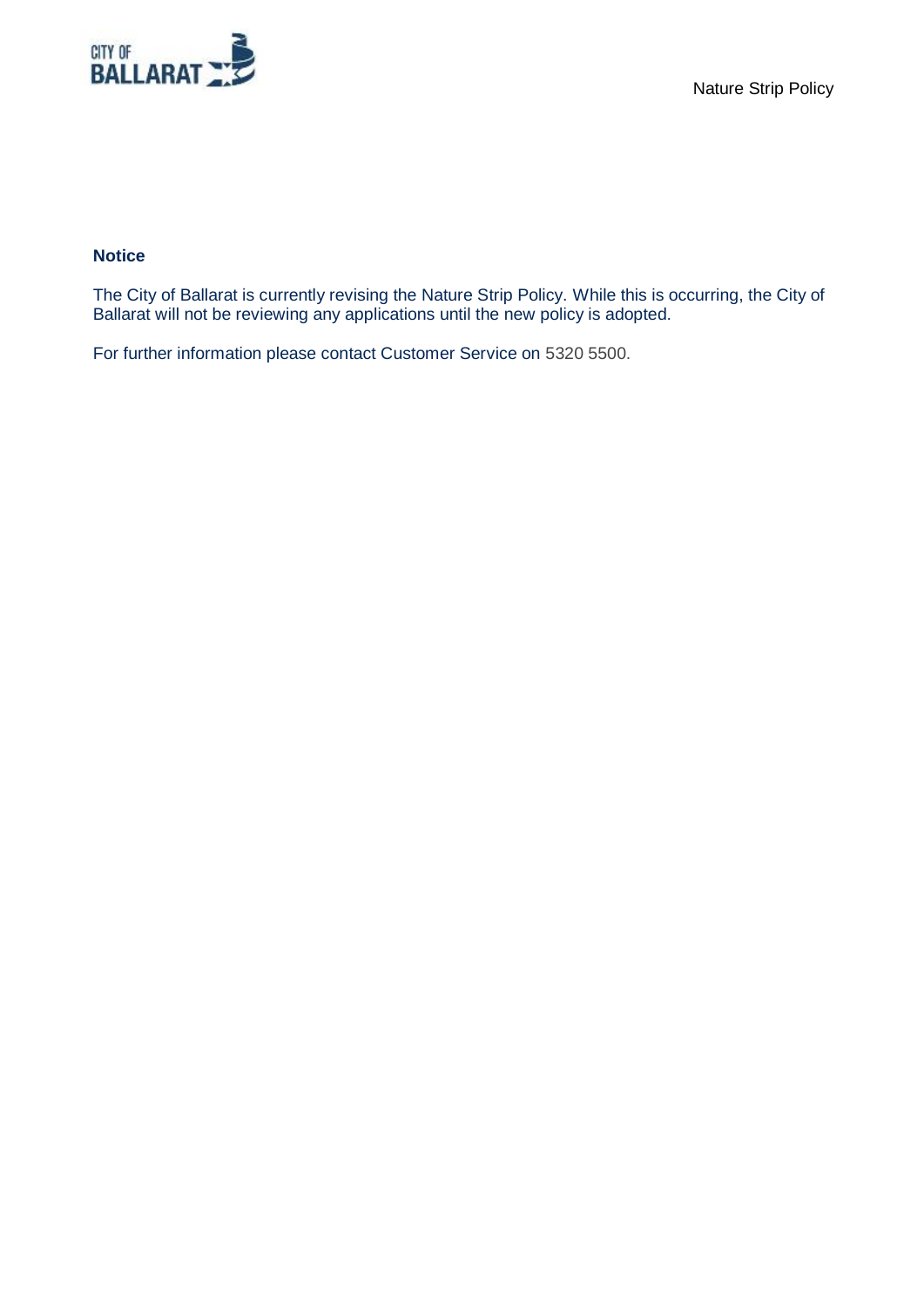

#### **Notice**

The City of Ballarat is currently revising the Nature Strip Policy. While this is occurring, the City of Ballarat will not be reviewing any applications until the new policy is adopted.

For further information please contact Customer Service on 5320 5500.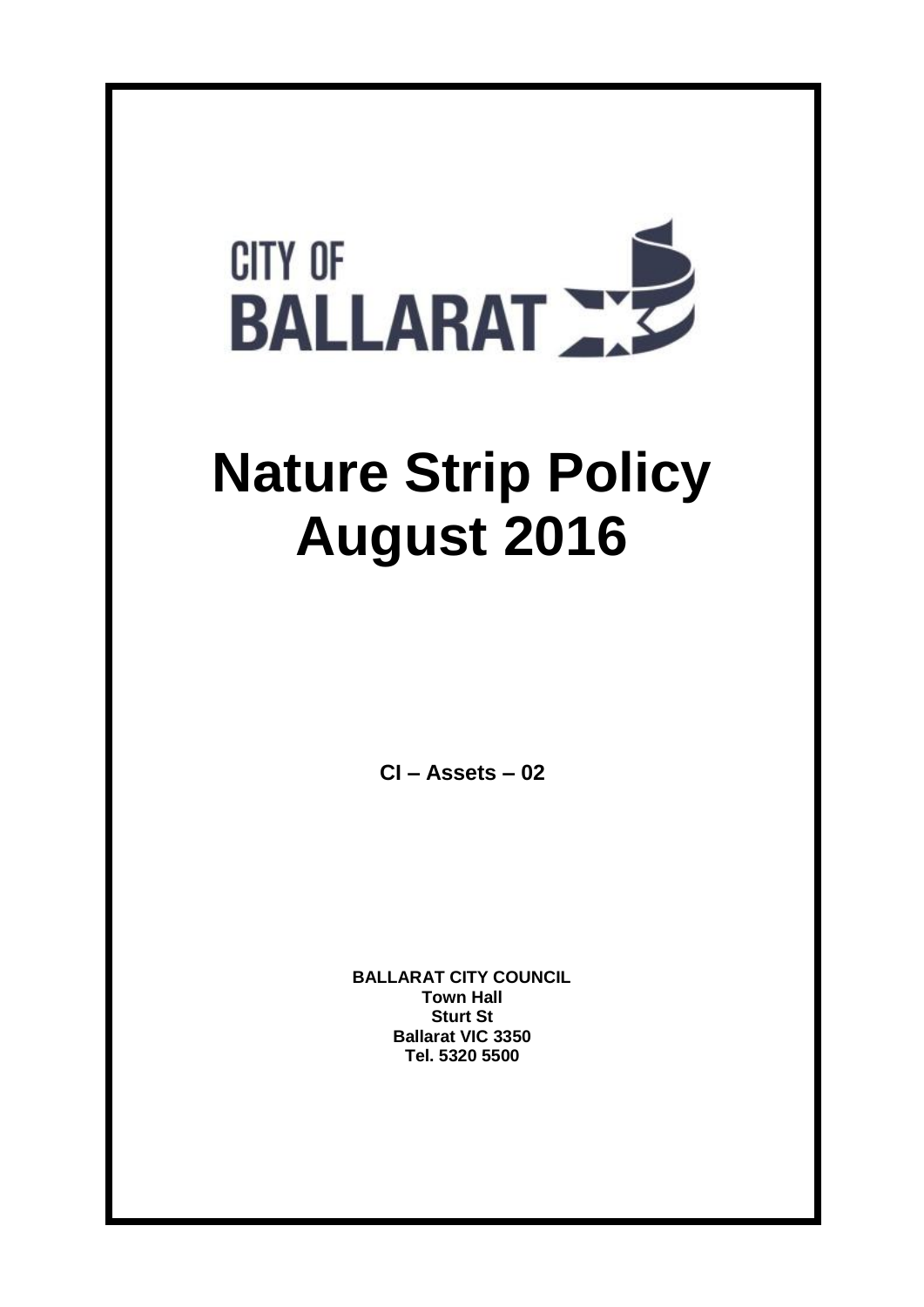

# **Nature Strip Policy August 2016**

**CI – Assets – 02**

**BALLARAT CITY COUNCIL Town Hall Sturt St Ballarat VIC 3350 Tel. 5320 5500**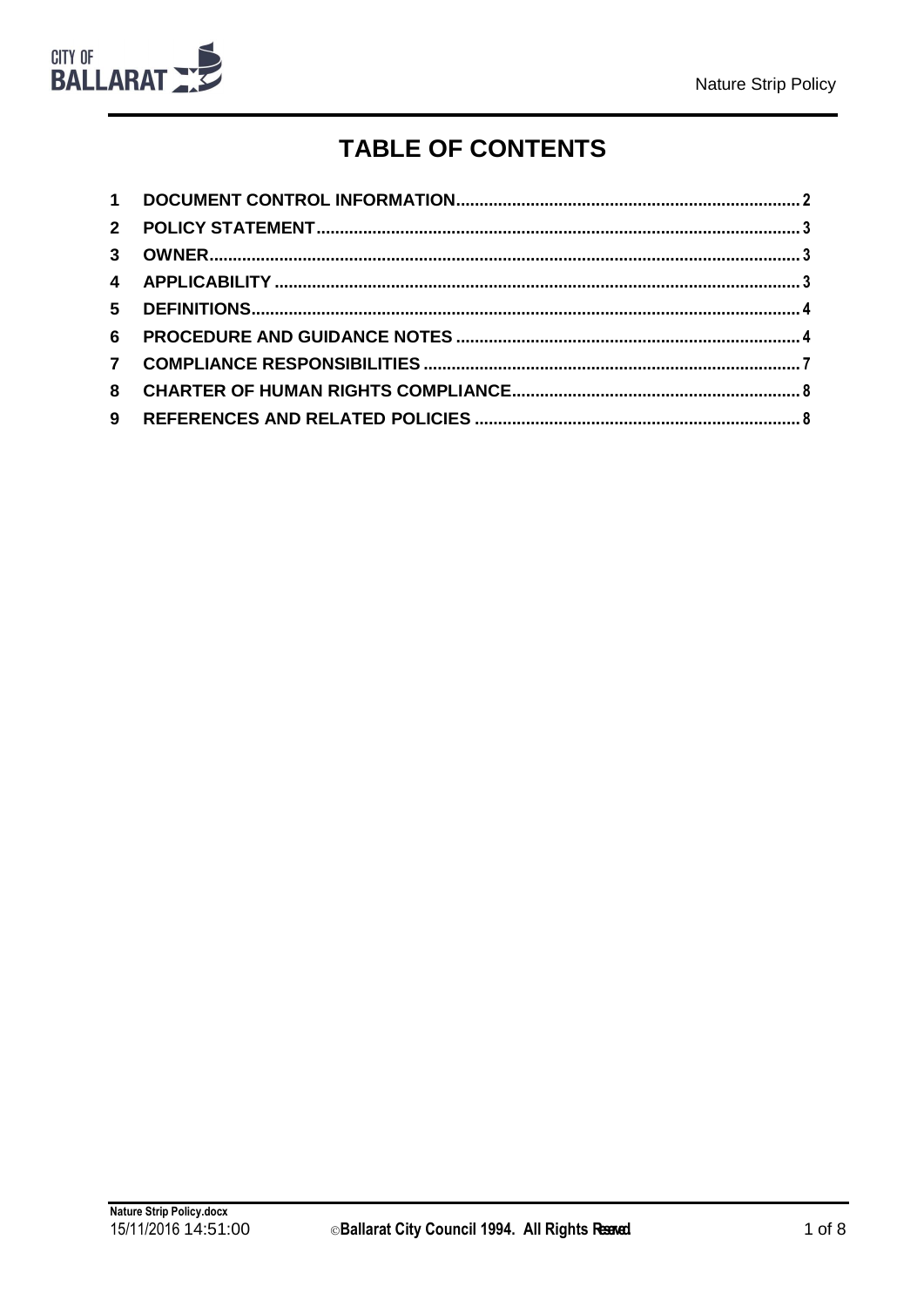

# **TABLE OF CONTENTS**

| $1 \quad$    |  |
|--------------|--|
| $2^{\circ}$  |  |
| $\mathbf{3}$ |  |
|              |  |
|              |  |
| 6            |  |
| $\mathbf{7}$ |  |
| 8            |  |
| 9            |  |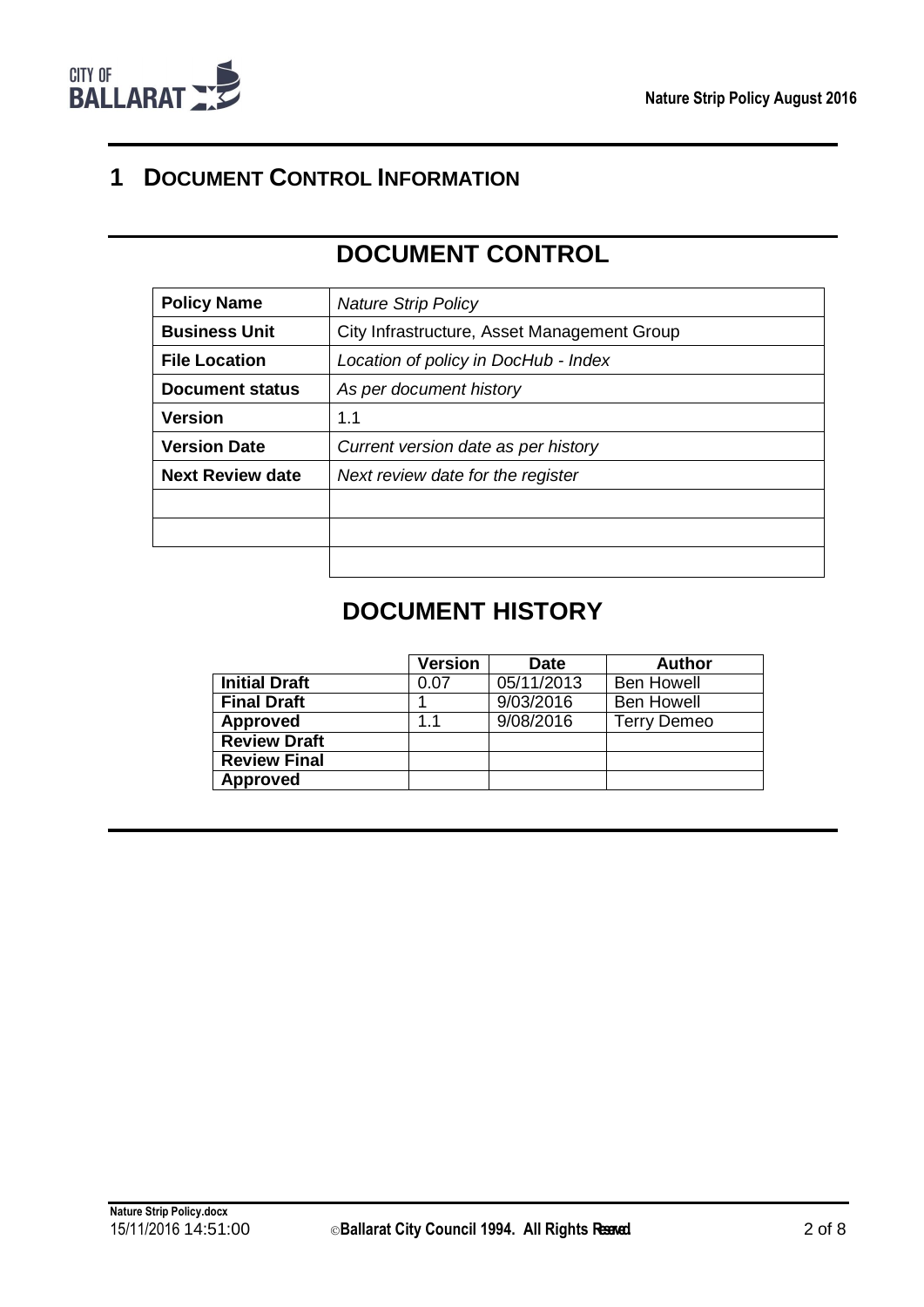

## <span id="page-3-0"></span>**1 DOCUMENT CONTROL INFORMATION**

# **DOCUMENT CONTROL**

| <b>Policy Name</b>      | <b>Nature Strip Policy</b>                  |
|-------------------------|---------------------------------------------|
| <b>Business Unit</b>    | City Infrastructure, Asset Management Group |
| <b>File Location</b>    | Location of policy in DocHub - Index        |
| Document status         | As per document history                     |
| <b>Version</b>          | 1.1                                         |
| <b>Version Date</b>     | Current version date as per history         |
| <b>Next Review date</b> | Next review date for the register           |
|                         |                                             |
|                         |                                             |
|                         |                                             |

## **DOCUMENT HISTORY**

|                      | <b>Version</b> | <b>Date</b> | <b>Author</b>      |
|----------------------|----------------|-------------|--------------------|
| <b>Initial Draft</b> | 0.07           | 05/11/2013  | <b>Ben Howell</b>  |
| <b>Final Draft</b>   |                | 9/03/2016   | <b>Ben Howell</b>  |
| <b>Approved</b>      | 1.1            | 9/08/2016   | <b>Terry Demeo</b> |
| <b>Review Draft</b>  |                |             |                    |
| <b>Review Final</b>  |                |             |                    |
| <b>Approved</b>      |                |             |                    |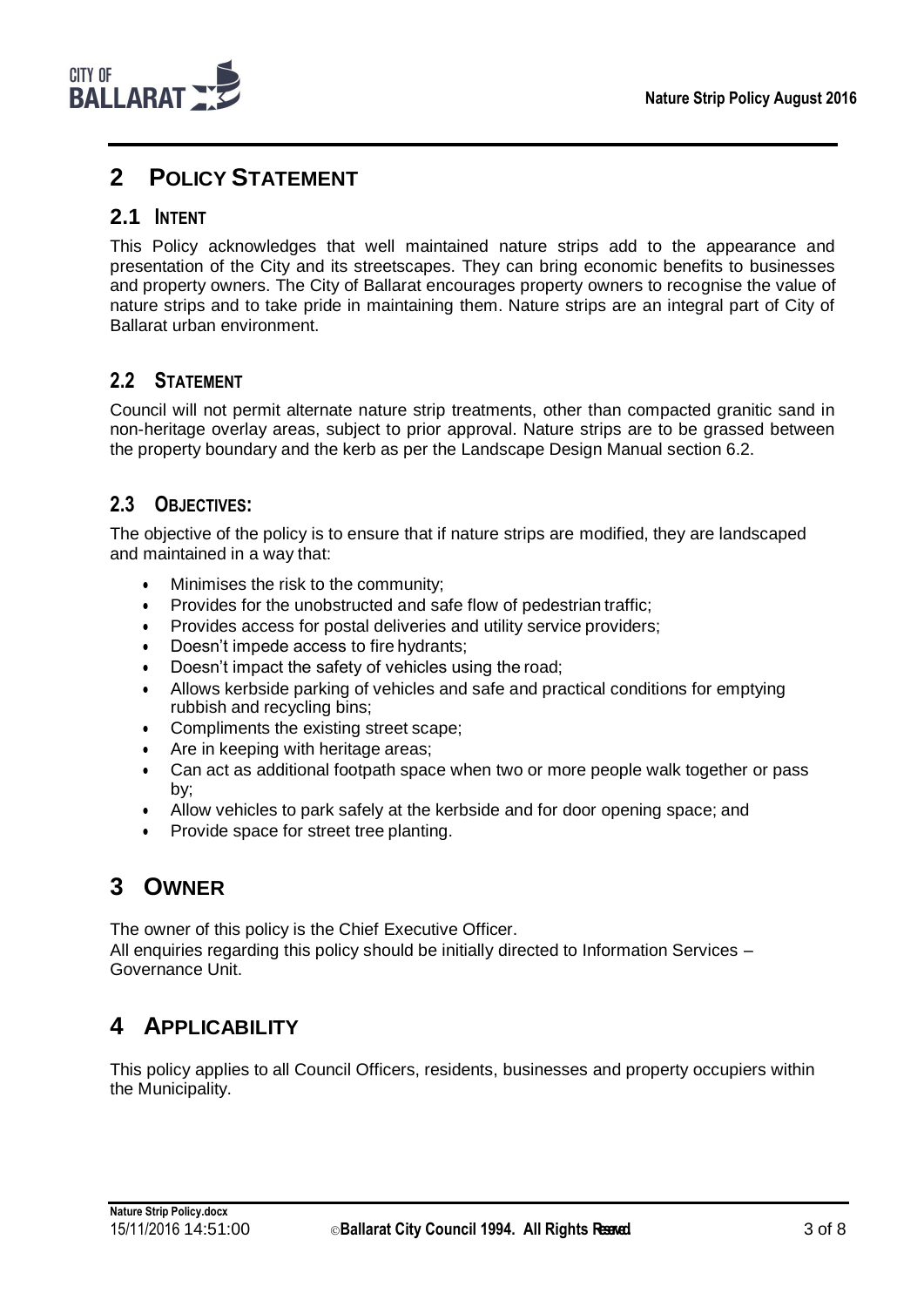## <span id="page-4-0"></span>**2 POLICY STATEMENT**

#### **2.1 INTENT**

This Policy acknowledges that well maintained nature strips add to the appearance and presentation of the City and its streetscapes. They can bring economic benefits to businesses and property owners. The City of Ballarat encourages property owners to recognise the value of nature strips and to take pride in maintaining them. Nature strips are an integral part of City of Ballarat urban environment.

#### **2.2 STATEMENT**

Council will not permit alternate nature strip treatments, other than compacted granitic sand in non-heritage overlay areas, subject to prior approval. Nature strips are to be grassed between the property boundary and the kerb as per the Landscape Design Manual section 6.2.

#### **2.3 OBJECTIVES:**

The objective of the policy is to ensure that if nature strips are modified, they are landscaped and maintained in a way that:

- Minimises the risk to the community;
- Provides for the unobstructed and safe flow of pedestrian traffic;
- Provides access for postal deliveries and utility service providers;
- Doesn't impede access to fire hydrants;
- Doesn't impact the safety of vehicles using the road;
- Allows kerbside parking of vehicles and safe and practical conditions for emptying rubbish and recycling bins;
- Compliments the existing street scape;
- Are in keeping with heritage areas;
- Can act as additional footpath space when two or more people walk together or pass by;
- Allow vehicles to park safely at the kerbside and for door opening space; and
- Provide space for street tree planting.

## <span id="page-4-1"></span>**3 OWNER**

The owner of this policy is the Chief Executive Officer. All enquiries regarding this policy should be initially directed to Information Services – Governance Unit.

## <span id="page-4-2"></span>**4 APPLICABILITY**

This policy applies to all Council Officers, residents, businesses and property occupiers within the Municipality.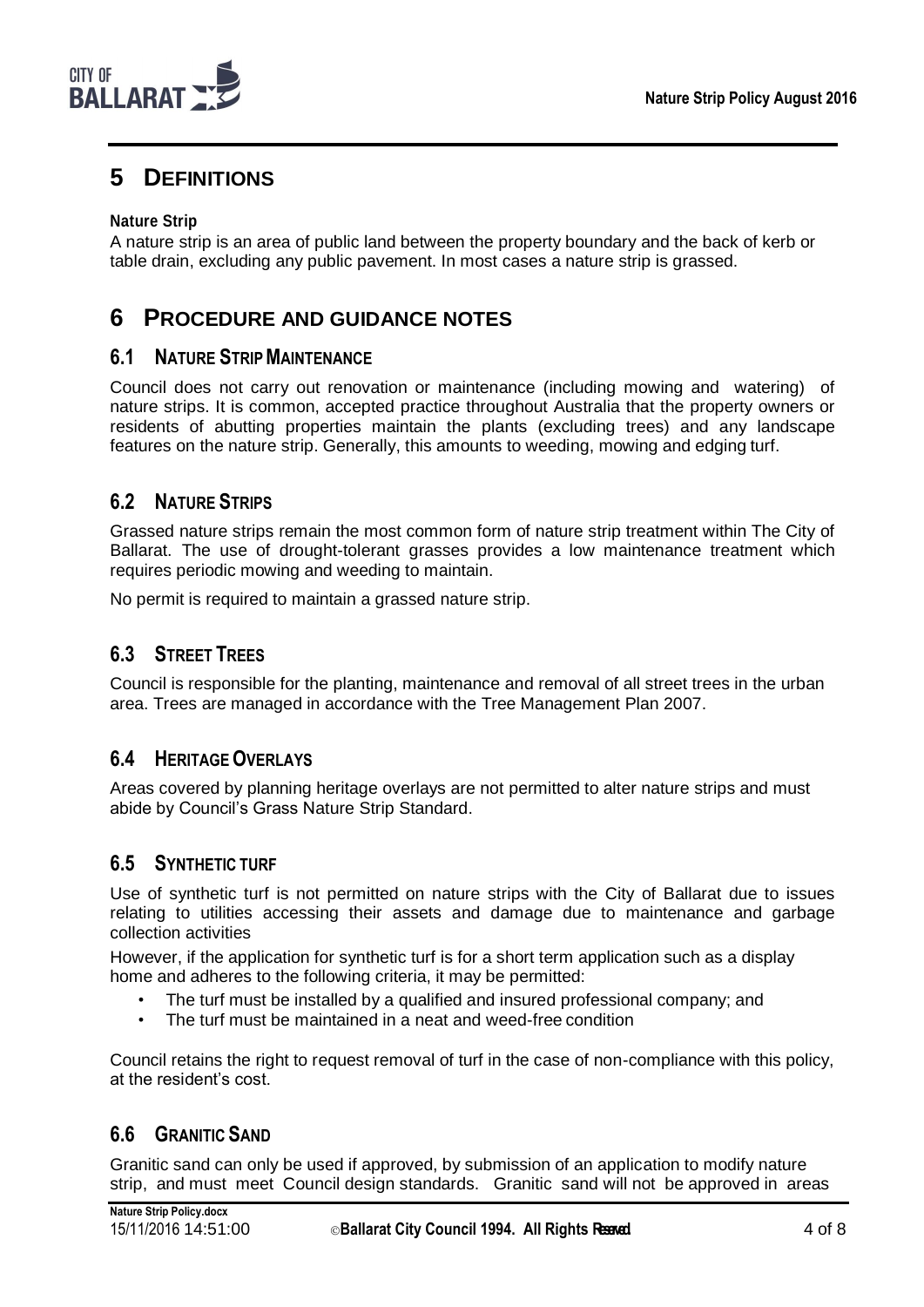

## <span id="page-5-0"></span>**5 DEFINITIONS**

#### **Nature Strip**

A nature strip is an area of public land between the property boundary and the back of kerb or table drain, excluding any public pavement. In most cases a nature strip is grassed.

## <span id="page-5-1"></span>**6 PROCEDURE AND GUIDANCE NOTES**

#### **6.1 NATURE STRIPMAINTENANCE**

Council does not carry out renovation or maintenance (including mowing and watering) of nature strips. It is common, accepted practice throughout Australia that the property owners or residents of abutting properties maintain the plants (excluding trees) and any landscape features on the nature strip. Generally, this amounts to weeding, mowing and edging turf.

#### **6.2 NATURE STRIPS**

Grassed nature strips remain the most common form of nature strip treatment within The City of Ballarat. The use of drought-tolerant grasses provides a low maintenance treatment which requires periodic mowing and weeding to maintain.

No permit is required to maintain a grassed nature strip.

#### **6.3 STREET TREES**

Council is responsible for the planting, maintenance and removal of all street trees in the urban area. Trees are managed in accordance with the Tree Management Plan 2007.

#### **6.4 HERITAGEOVERLAYS**

Areas covered by planning heritage overlays are not permitted to alter nature strips and must abide by Council's Grass Nature Strip Standard.

#### **6.5 SYNTHETIC TURF**

Use of synthetic turf is not permitted on nature strips with the City of Ballarat due to issues relating to utilities accessing their assets and damage due to maintenance and garbage collection activities

However, if the application for synthetic turf is for a short term application such as a display home and adheres to the following criteria, it may be permitted:

- The turf must be installed by a qualified and insured professional company; and
- The turf must be maintained in a neat and weed-free condition

Council retains the right to request removal of turf in the case of non-compliance with this policy, at the resident's cost.

#### **6.6 GRANITIC SAND**

Granitic sand can only be used if approved, by submission of an application to modify nature strip, and must meet Council design standards. Granitic sand will not be approved in areas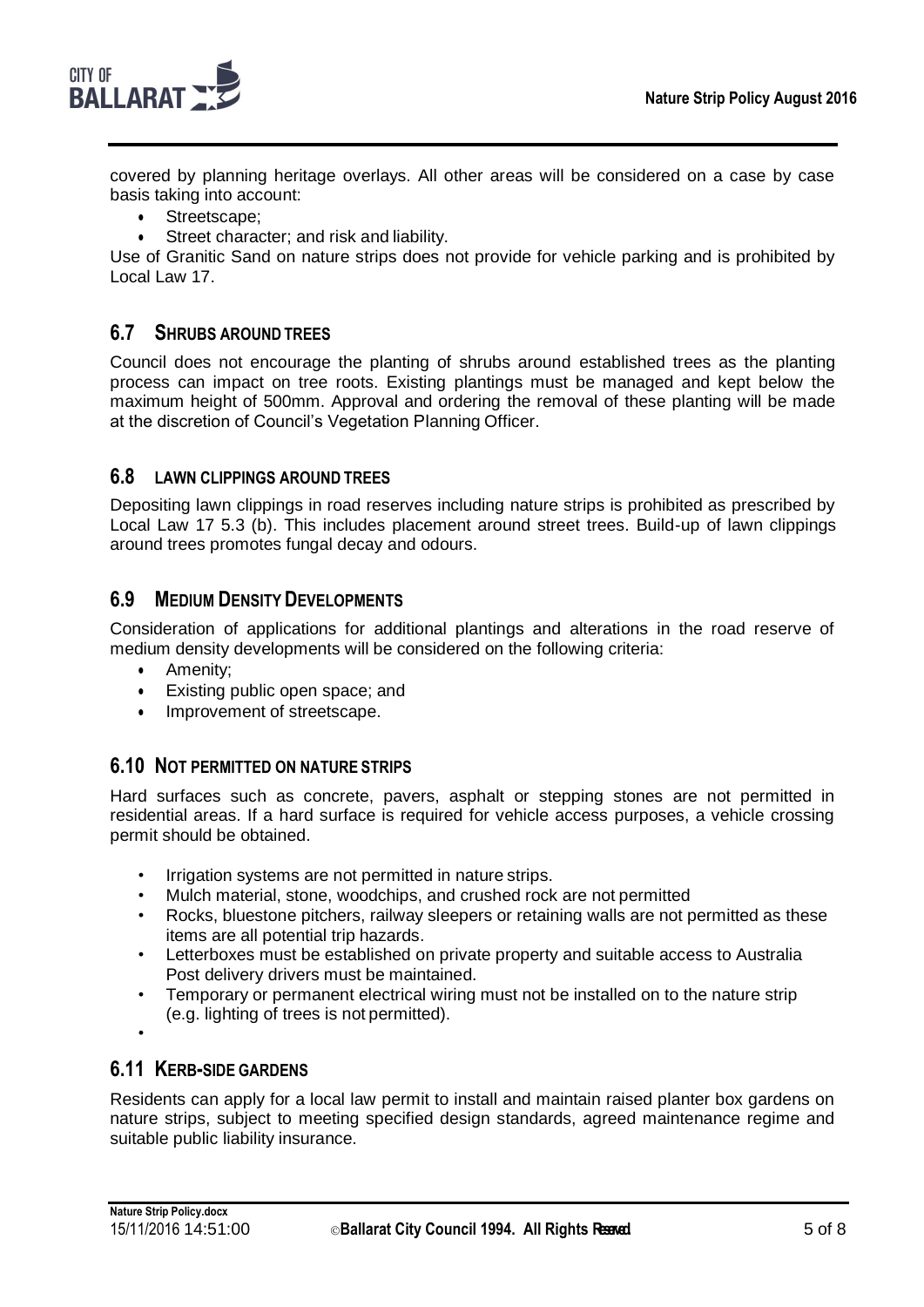

covered by planning heritage overlays. All other areas will be considered on a case by case basis taking into account:

- Streetscape;
- Street character; and risk and liability.

Use of Granitic Sand on nature strips does not provide for vehicle parking and is prohibited by Local Law 17.

#### **6.7 SHRUBS AROUND TREES**

Council does not encourage the planting of shrubs around established trees as the planting process can impact on tree roots. Existing plantings must be managed and kept below the maximum height of 500mm. Approval and ordering the removal of these planting will be made at the discretion of Council's Vegetation Planning Officer.

#### **6.8 LAWN CLIPPINGS AROUND TREES**

Depositing lawn clippings in road reserves including nature strips is prohibited as prescribed by Local Law 17 5.3 (b). This includes placement around street trees. Build-up of lawn clippings around trees promotes fungal decay and odours.

#### **6.9 MEDIUM DENSITYDEVELOPMENTS**

Consideration of applications for additional plantings and alterations in the road reserve of medium density developments will be considered on the following criteria:

- Amenity;
- Existing public open space; and
- Improvement of streetscape.

#### **6.10 NOT PERMITTED ON NATURE STRIPS**

Hard surfaces such as concrete, pavers, asphalt or stepping stones are not permitted in residential areas. If a hard surface is required for vehicle access purposes, a vehicle crossing permit should be obtained.

- Irrigation systems are not permitted in nature strips.
- Mulch material, stone, woodchips, and crushed rock are not permitted
- Rocks, bluestone pitchers, railway sleepers or retaining walls are not permitted as these items are all potential trip hazards.
- Letterboxes must be established on private property and suitable access to Australia Post delivery drivers must be maintained.
- Temporary or permanent electrical wiring must not be installed on to the nature strip (e.g. lighting of trees is not permitted).
- •

#### **6.11 KERB-SIDE GARDENS**

Residents can apply for a local law permit to install and maintain raised planter box gardens on nature strips, subject to meeting specified design standards, agreed maintenance regime and suitable public liability insurance.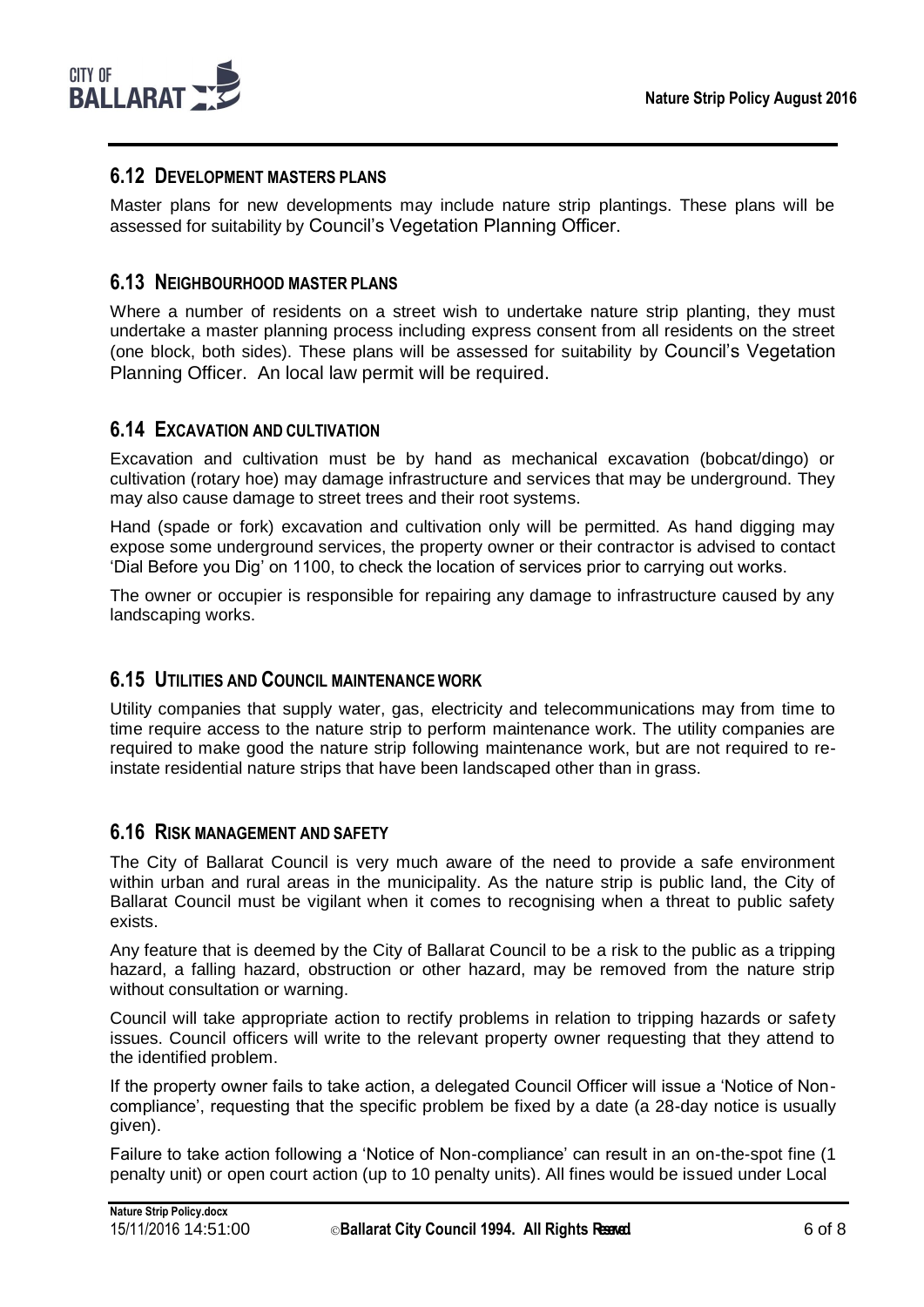

#### **6.12 DEVELOPMENT MASTERS PLANS**

Master plans for new developments may include nature strip plantings. These plans will be assessed for suitability by Council's Vegetation Planning Officer.

#### **6.13 NEIGHBOURHOOD MASTER PLANS**

Where a number of residents on a street wish to undertake nature strip planting, they must undertake a master planning process including express consent from all residents on the street (one block, both sides). These plans will be assessed for suitability by Council's Vegetation Planning Officer. An local law permit will be required.

#### **6.14 EXCAVATION AND CULTIVATION**

Excavation and cultivation must be by hand as mechanical excavation (bobcat/dingo) or cultivation (rotary hoe) may damage infrastructure and services that may be underground. They may also cause damage to street trees and their root systems.

Hand (spade or fork) excavation and cultivation only will be permitted. As hand digging may expose some underground services, the property owner or their contractor is advised to contact 'Dial Before you Dig' on 1100, to check the location of services prior to carrying out works.

The owner or occupier is responsible for repairing any damage to infrastructure caused by any landscaping works.

#### **6.15 UTILITIES AND COUNCIL MAINTENANCE WORK**

Utility companies that supply water, gas, electricity and telecommunications may from time to time require access to the nature strip to perform maintenance work. The utility companies are required to make good the nature strip following maintenance work, but are not required to reinstate residential nature strips that have been landscaped other than in grass.

#### **6.16 RISK MANAGEMENT AND SAFETY**

The City of Ballarat Council is very much aware of the need to provide a safe environment within urban and rural areas in the municipality. As the nature strip is public land, the City of Ballarat Council must be vigilant when it comes to recognising when a threat to public safety exists.

Any feature that is deemed by the City of Ballarat Council to be a risk to the public as a tripping hazard, a falling hazard, obstruction or other hazard, may be removed from the nature strip without consultation or warning.

Council will take appropriate action to rectify problems in relation to tripping hazards or safety issues. Council officers will write to the relevant property owner requesting that they attend to the identified problem.

If the property owner fails to take action, a delegated Council Officer will issue a 'Notice of Noncompliance', requesting that the specific problem be fixed by a date (a 28-day notice is usually given).

Failure to take action following a 'Notice of Non-compliance' can result in an on-the-spot fine (1 penalty unit) or open court action (up to 10 penalty units). All fines would be issued under Local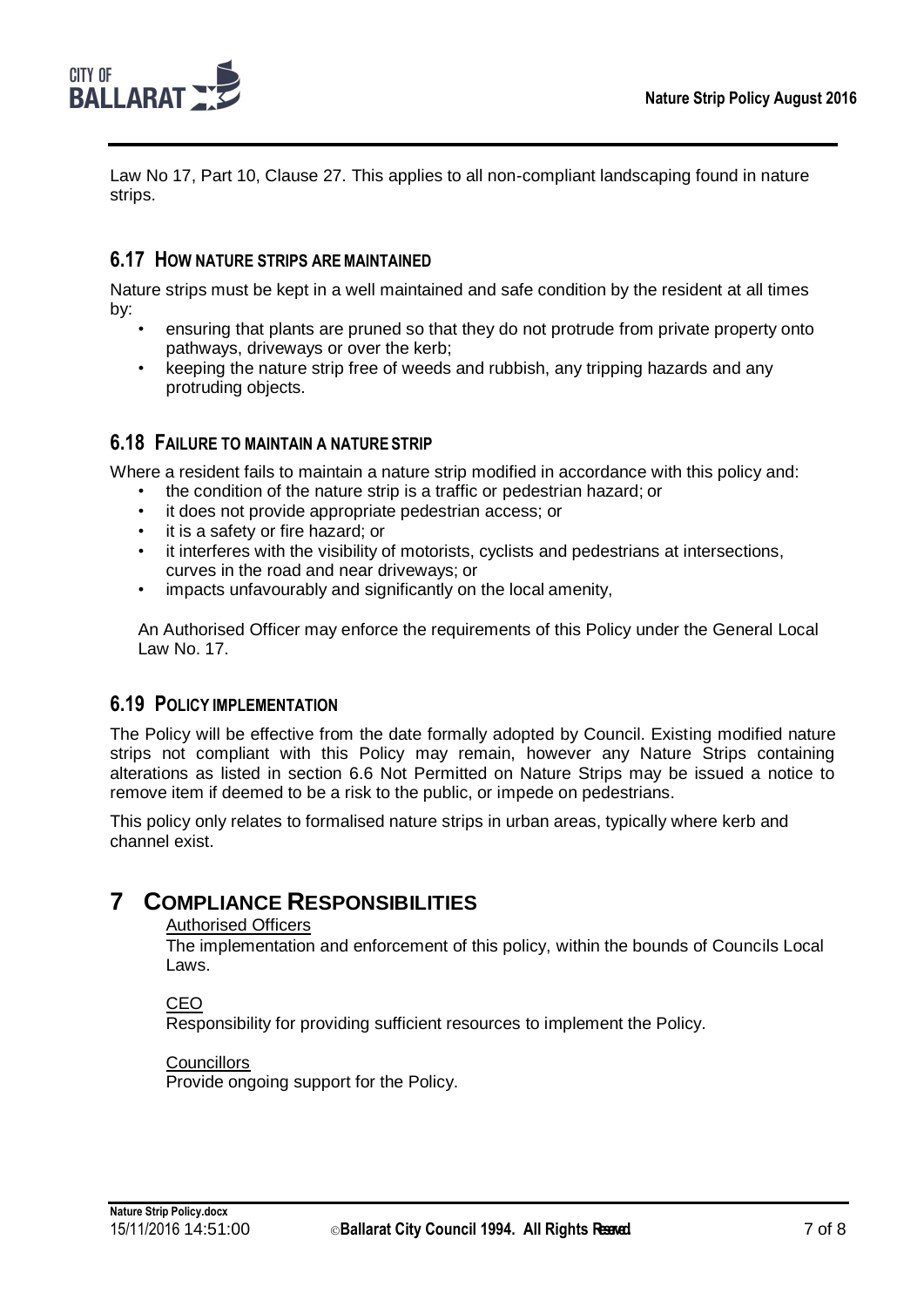

Law No 17, Part 10, Clause 27. This applies to all non-compliant landscaping found in nature strips.

#### **6.17 HOW NATURE STRIPS AREMAINTAINED**

Nature strips must be kept in a well maintained and safe condition by the resident at all times by:

- ensuring that plants are pruned so that they do not protrude from private property onto pathways, driveways or over the kerb;
- keeping the nature strip free of weeds and rubbish, any tripping hazards and any protruding objects.

#### **6.18 FAILURE TO MAINTAIN A NATURE STRIP**

Where a resident fails to maintain a nature strip modified in accordance with this policy and:

- the condition of the nature strip is a traffic or pedestrian hazard; or
- it does not provide appropriate pedestrian access; or
- it is a safety or fire hazard; or
- it interferes with the visibility of motorists, cyclists and pedestrians at intersections, curves in the road and near driveways; or
- impacts unfavourably and significantly on the local amenity,

An Authorised Officer may enforce the requirements of this Policy under the General Local Law No. 17.

#### **6.19 POLICY IMPLEMENTATION**

The Policy will be effective from the date formally adopted by Council. Existing modified nature strips not compliant with this Policy may remain, however any Nature Strips containing alterations as listed in section 6.6 Not Permitted on Nature Strips may be issued a notice to remove item if deemed to be a risk to the public, or impede on pedestrians.

This policy only relates to formalised nature strips in urban areas, typically where kerb and channel exist.

## <span id="page-8-0"></span>**7 COMPLIANCE RESPONSIBILITIES**

#### Authorised Officers

The implementation and enforcement of this policy, within the bounds of Councils Local Laws.

#### CEO

Responsibility for providing sufficient resources to implement the Policy.

#### **Councillors**

Provide ongoing support for the Policy.